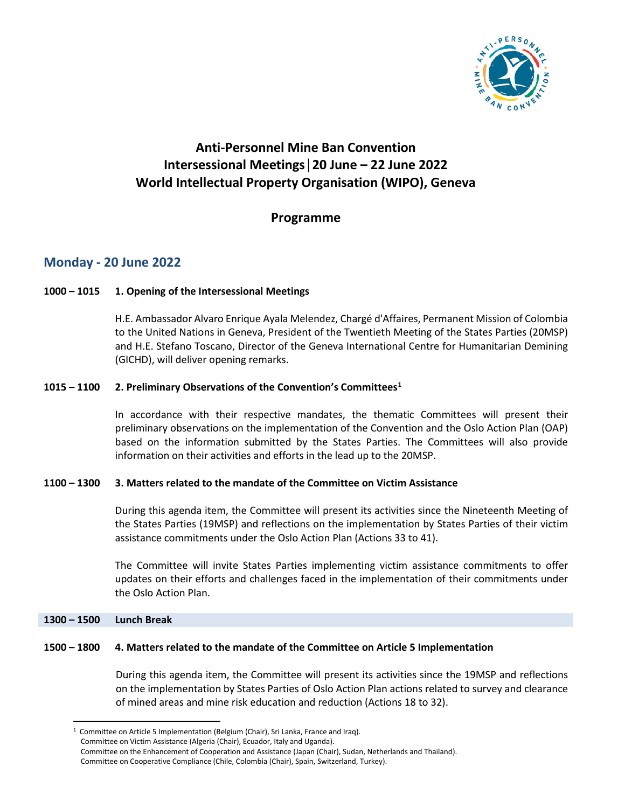

# **Anti-Personnel Mine Ban Convention Intersessional Meetings│20 June – 22 June 2022 World Intellectual Property Organisation (WIPO), Geneva**

## **Programme**

## **Monday - 20 June 2022**

## **1000 – 1015 1. Opening of the Intersessional Meetings**

H.E. Ambassador Alvaro Enrique Ayala Melendez, Chargé d'Affaires, Permanent Mission of Colombia to the United Nations in Geneva, President of the Twentieth Meeting of the States Parties (20MSP) and H.E. Stefano Toscano, Director of the Geneva International Centre for Humanitarian Demining (GICHD), will deliver opening remarks.

## **1015 – 1100 2. Preliminary Observations of the Convention's Committees[1](#page-0-0)**

In accordance with their respective mandates, the thematic Committees will present their preliminary observations on the implementation of the Convention and the Oslo Action Plan (OAP) based on the information submitted by the States Parties. The Committees will also provide information on their activities and efforts in the lead up to the 20MSP.

### **1100 – 1300 3. Matters related to the mandate of the Committee on Victim Assistance**

During this agenda item, the Committee will present its activities since the Nineteenth Meeting of the States Parties (19MSP) and reflections on the implementation by States Parties of their victim assistance commitments under the Oslo Action Plan (Actions 33 to 41).

The Committee will invite States Parties implementing victim assistance commitments to offer updates on their efforts and challenges faced in the implementation of their commitments under the Oslo Action Plan.

### **1300 – 1500 Lunch Break**

### **1500 – 1800 4. Matters related to the mandate of the Committee on Article 5 Implementation**

During this agenda item, the Committee will present its activities since the 19MSP and reflections on the implementation by States Parties of Oslo Action Plan actions related to survey and clearance of mined areas and mine risk education and reduction (Actions 18 to 32).

<span id="page-0-0"></span><sup>1</sup> Committee on Article 5 Implementation (Belgium (Chair), Sri Lanka, France and Iraq). Committee on Victim Assistance (Algeria (Chair), Ecuador, Italy and Uganda). Committee on the Enhancement of Cooperation and Assistance (Japan (Chair), Sudan, Netherlands and Thailand). Committee on Cooperative Compliance (Chile, Colombia (Chair), Spain, Switzerland, Turkey).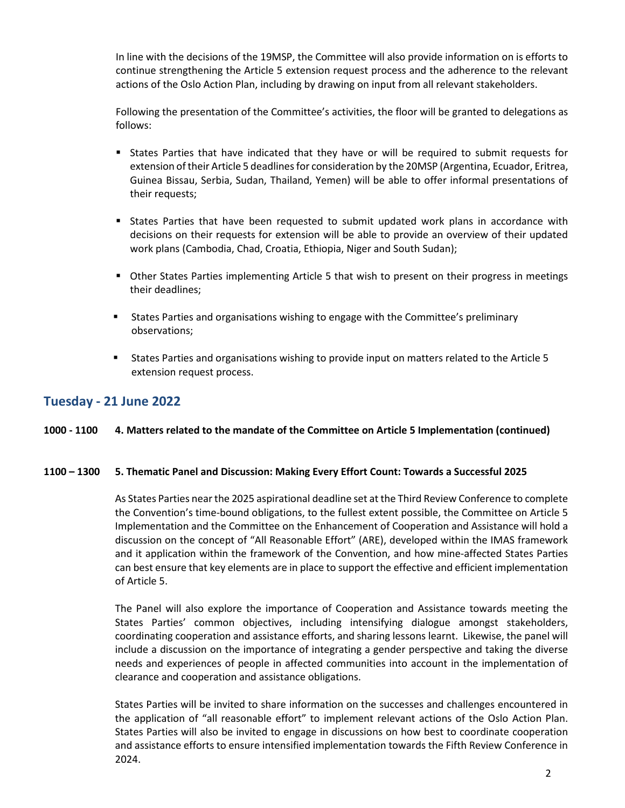In line with the decisions of the 19MSP, the Committee will also provide information on is efforts to continue strengthening the Article 5 extension request process and the adherence to the relevant actions of the Oslo Action Plan, including by drawing on input from all relevant stakeholders.

Following the presentation of the Committee's activities, the floor will be granted to delegations as follows:

- States Parties that have indicated that they have or will be required to submit requests for extension of their Article 5 deadlines for consideration by the 20MSP (Argentina, Ecuador, Eritrea, Guinea Bissau, Serbia, Sudan, Thailand, Yemen) will be able to offer informal presentations of their requests;
- States Parties that have been requested to submit updated work plans in accordance with decisions on their requests for extension will be able to provide an overview of their updated work plans (Cambodia, Chad, Croatia, Ethiopia, Niger and South Sudan);
- Other States Parties implementing Article 5 that wish to present on their progress in meetings their deadlines;
- States Parties and organisations wishing to engage with the Committee's preliminary observations;
- States Parties and organisations wishing to provide input on matters related to the Article 5 extension request process.

## **Tuesday - 21 June 2022**

#### **1000 - 1100 4. Matters related to the mandate of the Committee on Article 5 Implementation (continued)**

#### **1100 – 1300 5. Thematic Panel and Discussion: Making Every Effort Count: Towards a Successful 2025**

As States Parties near the 2025 aspirational deadline set at the Third Review Conference to complete the Convention's time-bound obligations, to the fullest extent possible, the Committee on Article 5 Implementation and the Committee on the Enhancement of Cooperation and Assistance will hold a discussion on the concept of "All Reasonable Effort" (ARE), developed within the IMAS framework and it application within the framework of the Convention, and how mine-affected States Parties can best ensure that key elements are in place to support the effective and efficient implementation of Article 5.

The Panel will also explore the importance of Cooperation and Assistance towards meeting the States Parties' common objectives, including intensifying dialogue amongst stakeholders, coordinating cooperation and assistance efforts, and sharing lessons learnt. Likewise, the panel will include a discussion on the importance of integrating a gender perspective and taking the diverse needs and experiences of people in affected communities into account in the implementation of clearance and cooperation and assistance obligations.

States Parties will be invited to share information on the successes and challenges encountered in the application of "all reasonable effort" to implement relevant actions of the Oslo Action Plan. States Parties will also be invited to engage in discussions on how best to coordinate cooperation and assistance efforts to ensure intensified implementation towards the Fifth Review Conference in 2024.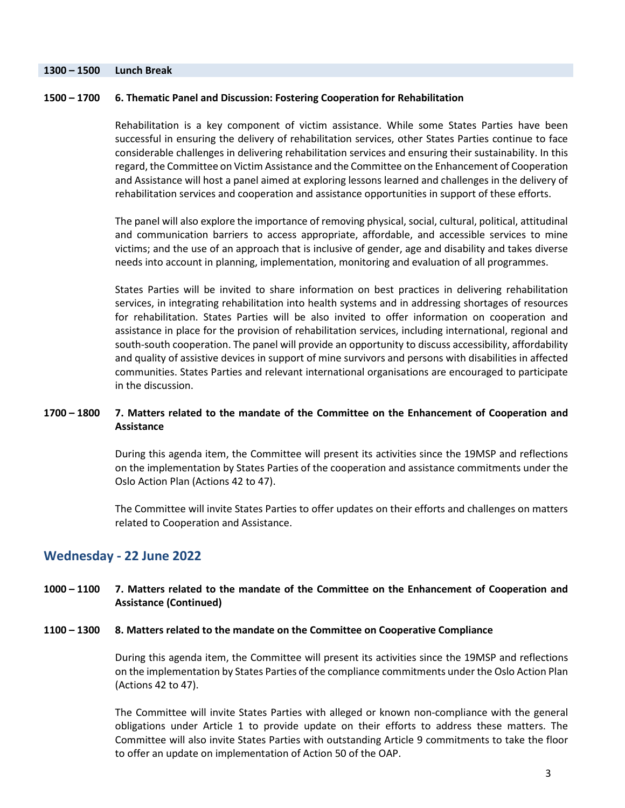### **1300 – 1500 Lunch Break**

### **1500 – 1700 6. Thematic Panel and Discussion: Fostering Cooperation for Rehabilitation**

Rehabilitation is a key component of victim assistance. While some States Parties have been successful in ensuring the delivery of rehabilitation services, other States Parties continue to face considerable challenges in delivering rehabilitation services and ensuring their sustainability. In this regard, the Committee on Victim Assistance and the Committee on the Enhancement of Cooperation and Assistance will host a panel aimed at exploring lessons learned and challenges in the delivery of rehabilitation services and cooperation and assistance opportunities in support of these efforts.

The panel will also explore the importance of removing physical, social, cultural, political, attitudinal and communication barriers to access appropriate, affordable, and accessible services to mine victims; and the use of an approach that is inclusive of gender, age and disability and takes diverse needs into account in planning, implementation, monitoring and evaluation of all programmes.

States Parties will be invited to share information on best practices in delivering rehabilitation services, in integrating rehabilitation into health systems and in addressing shortages of resources for rehabilitation. States Parties will be also invited to offer information on cooperation and assistance in place for the provision of rehabilitation services, including international, regional and south-south cooperation. The panel will provide an opportunity to discuss accessibility, affordability and quality of assistive devices in support of mine survivors and persons with disabilities in affected communities. States Parties and relevant international organisations are encouraged to participate in the discussion.

### **1700 – 1800 7. Matters related to the mandate of the Committee on the Enhancement of Cooperation and Assistance**

During this agenda item, the Committee will present its activities since the 19MSP and reflections on the implementation by States Parties of the cooperation and assistance commitments under the Oslo Action Plan (Actions 42 to 47).

The Committee will invite States Parties to offer updates on their efforts and challenges on matters related to Cooperation and Assistance.

## **Wednesday - 22 June 2022**

#### **1000 – 1100 7. Matters related to the mandate of the Committee on the Enhancement of Cooperation and Assistance (Continued)**

#### **1100 – 1300 8. Matters related to the mandate on the Committee on Cooperative Compliance**

During this agenda item, the Committee will present its activities since the 19MSP and reflections on the implementation by States Parties of the compliance commitments under the Oslo Action Plan (Actions 42 to 47).

The Committee will invite States Parties with alleged or known non-compliance with the general obligations under Article 1 to provide update on their efforts to address these matters. The Committee will also invite States Parties with outstanding Article 9 commitments to take the floor to offer an update on implementation of Action 50 of the OAP.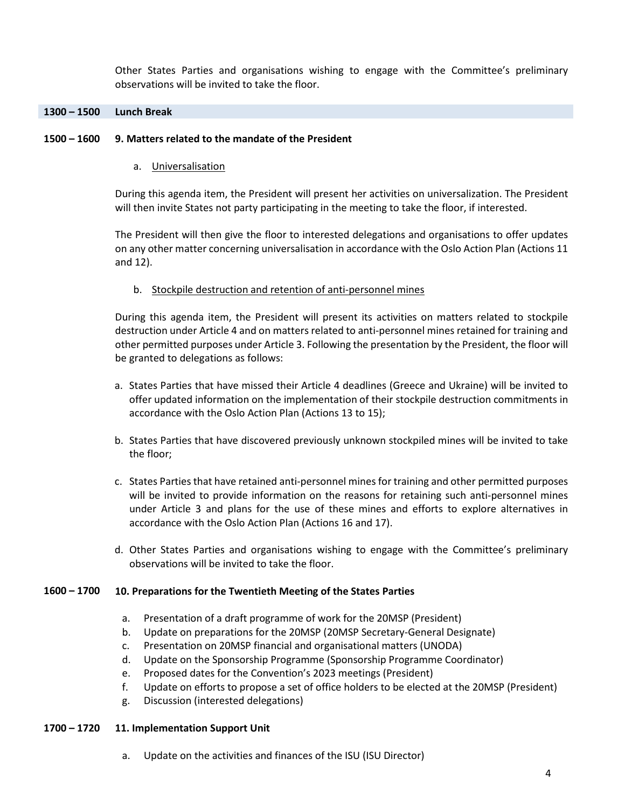Other States Parties and organisations wishing to engage with the Committee's preliminary observations will be invited to take the floor.

### **1300 – 1500 Lunch Break**

#### **1500 – 1600 9. Matters related to the mandate of the President**

a. Universalisation

During this agenda item, the President will present her activities on universalization. The President will then invite States not party participating in the meeting to take the floor, if interested.

The President will then give the floor to interested delegations and organisations to offer updates on any other matter concerning universalisation in accordance with the Oslo Action Plan (Actions 11 and 12).

b. Stockpile destruction and retention of anti-personnel mines

During this agenda item, the President will present its activities on matters related to stockpile destruction under Article 4 and on matters related to anti-personnel mines retained for training and other permitted purposes under Article 3. Following the presentation by the President, the floor will be granted to delegations as follows:

- a. States Parties that have missed their Article 4 deadlines (Greece and Ukraine) will be invited to offer updated information on the implementation of their stockpile destruction commitments in accordance with the Oslo Action Plan (Actions 13 to 15);
- b. States Parties that have discovered previously unknown stockpiled mines will be invited to take the floor;
- c. States Parties that have retained anti-personnel mines for training and other permitted purposes will be invited to provide information on the reasons for retaining such anti-personnel mines under Article 3 and plans for the use of these mines and efforts to explore alternatives in accordance with the Oslo Action Plan (Actions 16 and 17).
- d. Other States Parties and organisations wishing to engage with the Committee's preliminary observations will be invited to take the floor.

#### **1600 – 1700 10. Preparations for the Twentieth Meeting of the States Parties**

- a. Presentation of a draft programme of work for the 20MSP (President)
- b. Update on preparations for the 20MSP (20MSP Secretary-General Designate)
- c. Presentation on 20MSP financial and organisational matters (UNODA)
- d. Update on the Sponsorship Programme (Sponsorship Programme Coordinator)
- e. Proposed dates for the Convention's 2023 meetings (President)
- f. Update on efforts to propose a set of office holders to be elected at the 20MSP (President)
- g. Discussion (interested delegations)

#### **1700 – 1720 11. Implementation Support Unit**

a. Update on the activities and finances of the ISU (ISU Director)